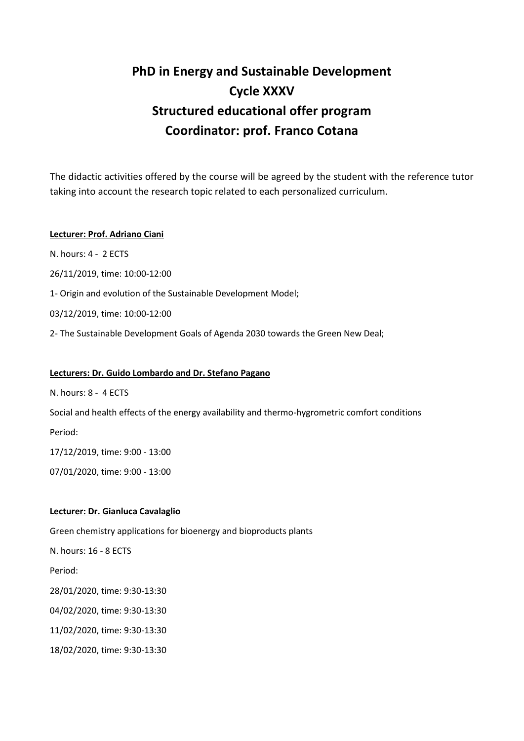# **PhD in Energy and Sustainable Development Cycle XXXV Structured educational offer program Coordinator: prof. Franco Cotana**

The didactic activities offered by the course will be agreed by the student with the reference tutor taking into account the research topic related to each personalized curriculum.

## **Lecturer: Prof. Adriano Ciani**

N. hours: 4 - 2 ECTS

26/11/2019, time: 10:00-12:00

1- Origin and evolution of the Sustainable Development Model;

03/12/2019, time: 10:00-12:00

2- The Sustainable Development Goals of Agenda 2030 towards the Green New Deal;

## **Lecturers: Dr. Guido Lombardo and Dr. Stefano Pagano**

N. hours: 8 - 4 ECTS

Social and health effects of the energy availability and thermo-hygrometric comfort conditions

Period:

17/12/2019, time: 9:00 - 13:00

07/01/2020, time: 9:00 - 13:00

## **Lecturer: Dr. Gianluca Cavalaglio**

Green chemistry applications for bioenergy and bioproducts plants

N. hours: 16 - 8 ECTS

Period:

28/01/2020, time: 9:30-13:30

04/02/2020, time: 9:30-13:30

11/02/2020, time: 9:30-13:30

18/02/2020, time: 9:30-13:30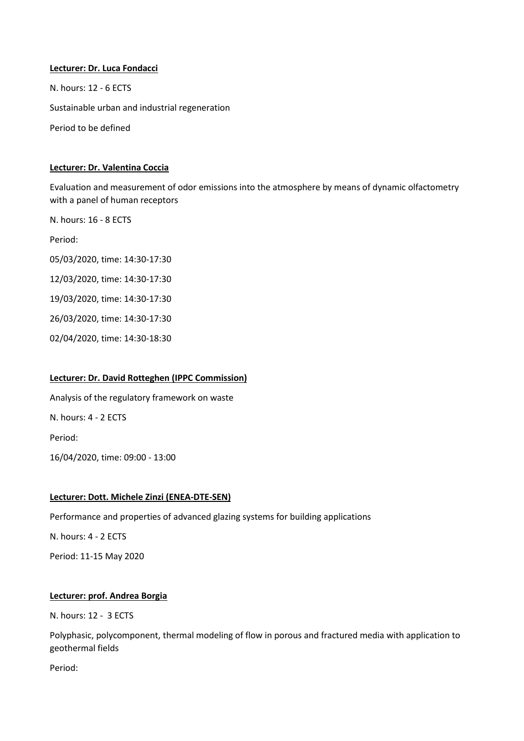**Lecturer: Dr. Luca Fondacci** N. hours: 12 - 6 ECTS Sustainable urban and industrial regeneration Period to be defined

## **Lecturer: Dr. Valentina Coccia**

Evaluation and measurement of odor emissions into the atmosphere by means of dynamic olfactometry with a panel of human receptors

N. hours: 16 - 8 ECTS Period: 05/03/2020, time: 14:30-17:30 12/03/2020, time: 14:30-17:30 19/03/2020, time: 14:30-17:30 26/03/2020, time: 14:30-17:30 02/04/2020, time: 14:30-18:30

## **Lecturer: Dr. David Rotteghen (IPPC Commission)**

Analysis of the regulatory framework on waste N. hours: 4 - 2 ECTS Period: 16/04/2020, time: 09:00 - 13:00

## **Lecturer: Dott. Michele Zinzi (ENEA-DTE-SEN)**

Performance and properties of advanced glazing systems for building applications

N. hours: 4 - 2 ECTS

Period: 11-15 May 2020

## **Lecturer: prof. Andrea Borgia**

N. hours: 12 - 3 ECTS

Polyphasic, polycomponent, thermal modeling of flow in porous and fractured media with application to geothermal fields

Period: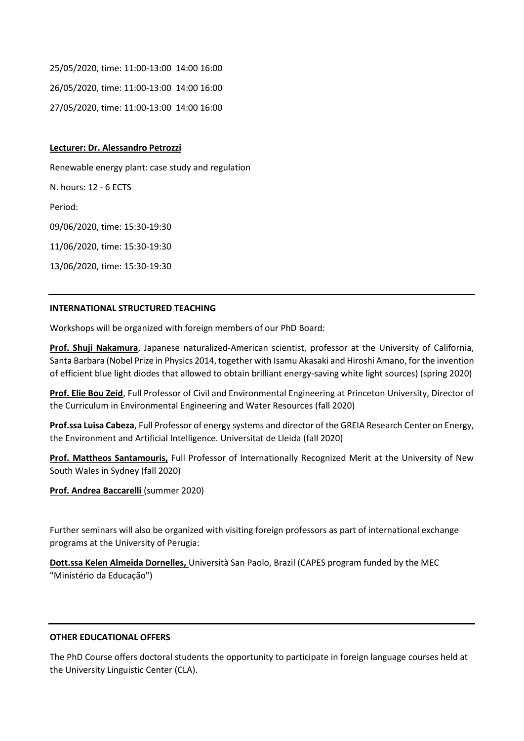25/05/2020, time: 11:00-13:00 14:00 16:00 26/05/2020, time: 11:00-13:00 14:00 16:00 27/05/2020, time: 11:00-13:00 14:00 16:00

#### **Lecturer: Dr. Alessandro Petrozzi**

Renewable energy plant: case study and regulation N. hours: 12 - 6 ECTS Period: 09/06/2020, time: 15:30-19:30 11/06/2020, time: 15:30-19:30 13/06/2020, time: 15:30-19:30

#### **INTERNATIONAL STRUCTURED TEACHING**

Workshops will be organized with foreign members of our PhD Board:

**Prof. Shuji Nakamura**, Japanese naturalized-American scientist, professor at the University of California, Santa Barbara (Nobel Prize in Physics 2014, together with Isamu Akasaki and Hiroshi Amano, for the invention of efficient blue light diodes that allowed to obtain brilliant energy-saving white light sources) (spring 2020)

**Prof. Elie Bou Zeid**, Full Professor of Civil and Environmental Engineering at Princeton University, Director of the Curriculum in Environmental Engineering and Water Resources (fall 2020)

**Prof.ssa Luisa Cabeza**, Full Professor of energy systems and director of the GREIA Research Center on Energy, the Environment and Artificial Intelligence. Universitat de Lleida (fall 2020)

**Prof. Mattheos Santamouris,** Full Professor of Internationally Recognized Merit at the University of New South Wales in Sydney (fall 2020)

**Prof. Andrea Baccarelli** (summer 2020)

Further seminars will also be organized with visiting foreign professors as part of international exchange programs at the University of Perugia:

**Dott.ssa Kelen Almeida Dornelles,** Università San Paolo, Brazil (CAPES program funded by the MEC "Ministério da Educação")

#### **OTHER EDUCATIONAL OFFERS**

The PhD Course offers doctoral students the opportunity to participate in foreign language courses held at the University Linguistic Center (CLA).